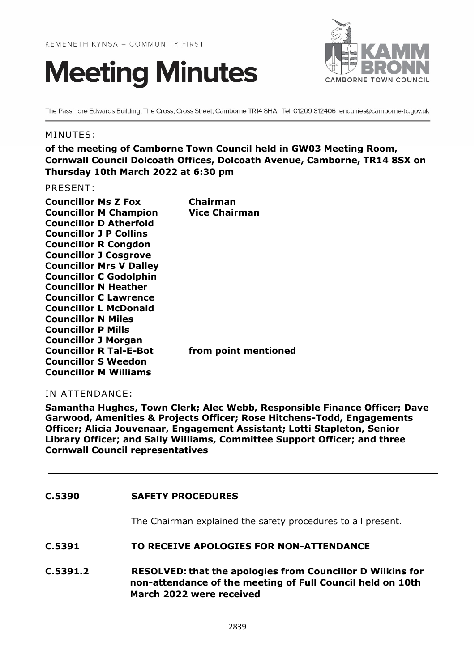



The Passmore Edwards Building, The Cross, Cross Street, Camborne TR14 8HA Tel: 01209 612406 enquiries@camborne-tc.gov.uk

## MINUTES:

**of the meeting of Camborne Town Council held in GW03 Meeting Room, Cornwall Council Dolcoath Offices, Dolcoath Avenue, Camborne, TR14 8SX on Thursday 10th March 2022 at 6:30 pm**

PRESENT:

| <b>Councillor Ms Z Fox</b>     | Chairman             |
|--------------------------------|----------------------|
| <b>Councillor M Champion</b>   | <b>Vice Chairman</b> |
| <b>Councillor D Atherfold</b>  |                      |
| <b>Councillor J P Collins</b>  |                      |
| <b>Councillor R Congdon</b>    |                      |
| <b>Councillor J Cosgrove</b>   |                      |
| <b>Councillor Mrs V Dalley</b> |                      |
| <b>Councillor C Godolphin</b>  |                      |
| <b>Councillor N Heather</b>    |                      |
| <b>Councillor C Lawrence</b>   |                      |
| <b>Councillor L McDonald</b>   |                      |
| <b>Councillor N Miles</b>      |                      |
| <b>Councillor P Mills</b>      |                      |
| <b>Councillor J Morgan</b>     |                      |
| <b>Councillor R Tal-E-Bot</b>  | from point mentioned |
| <b>Councillor S Weedon</b>     |                      |
| <b>Councillor M Williams</b>   |                      |
|                                |                      |

# IN ATTENDANCE:

**Samantha Hughes, Town Clerk; Alec Webb, Responsible Finance Officer; Dave Garwood, Amenities & Projects Officer; Rose Hitchens-Todd, Engagements Officer; Alicia Jouvenaar, Engagement Assistant; Lotti Stapleton, Senior Library Officer; and Sally Williams, Committee Support Officer; and three Cornwall Council representatives**

**C.5390 SAFETY PROCEDURES**

The Chairman explained the safety procedures to all present.

**C.5391 TO RECEIVE APOLOGIES FOR NON-ATTENDANCE**

**C.5391.2 RESOLVED: that the apologies from Councillor D Wilkins for non-attendance of the meeting of Full Council held on 10th March 2022 were received**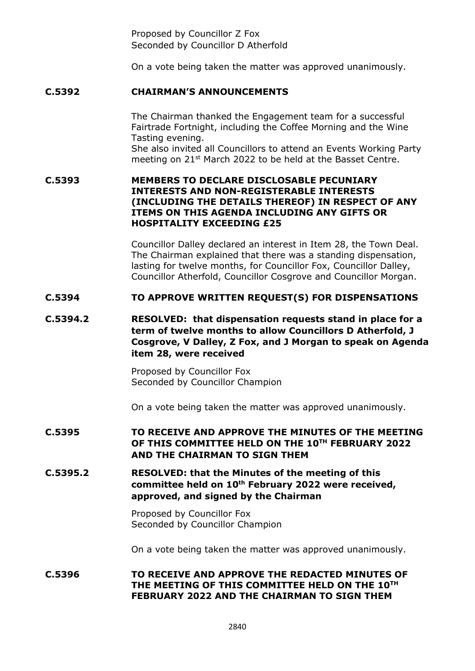Proposed by Councillor Z Fox Seconded by Councillor D Atherfold

On a vote being taken the matter was approved unanimously.

# **C.5392 CHAIRMAN'S ANNOUNCEMENTS**

The Chairman thanked the Engagement team for a successful Fairtrade Fortnight, including the Coffee Morning and the Wine Tasting evening. She also invited all Councillors to attend an Events Working Party meeting on  $21^{st}$  March 2022 to be held at the Basset Centre.

## **C.5393 MEMBERS TO DECLARE DISCLOSABLE PECUNIARY INTERESTS AND NON-REGISTERABLE INTERESTS (INCLUDING THE DETAILS THEREOF) IN RESPECT OF ANY ITEMS ON THIS AGENDA INCLUDING ANY GIFTS OR HOSPITALITY EXCEEDING £25**

Councillor Dalley declared an interest in Item 28, the Town Deal. The Chairman explained that there was a standing dispensation, lasting for twelve months, for Councillor Fox, Councillor Dalley, Councillor Atherfold, Councillor Cosgrove and Councillor Morgan.

# **C.5394 TO APPROVE WRITTEN REQUEST(S) FOR DISPENSATIONS**

# **C.5394.2 RESOLVED: that dispensation requests stand in place for a term of twelve months to allow Councillors D Atherfold, J Cosgrove, V Dalley, Z Fox, and J Morgan to speak on Agenda item 28, were received**

Proposed by Councillor Fox Seconded by Councillor Champion

On a vote being taken the matter was approved unanimously.

# **C.5395 TO RECEIVE AND APPROVE THE MINUTES OF THE MEETING OF THIS COMMITTEE HELD ON THE 10TH FEBRUARY 2022 AND THE CHAIRMAN TO SIGN THEM**

**C.5395.2 RESOLVED: that the Minutes of the meeting of this committee held on 10th February 2022 were received, approved, and signed by the Chairman**

> Proposed by Councillor Fox Seconded by Councillor Champion

On a vote being taken the matter was approved unanimously.

## **C.5396 TO RECEIVE AND APPROVE THE REDACTED MINUTES OF THE MEETING OF THIS COMMITTEE HELD ON THE 10TH FEBRUARY 2022 AND THE CHAIRMAN TO SIGN THEM**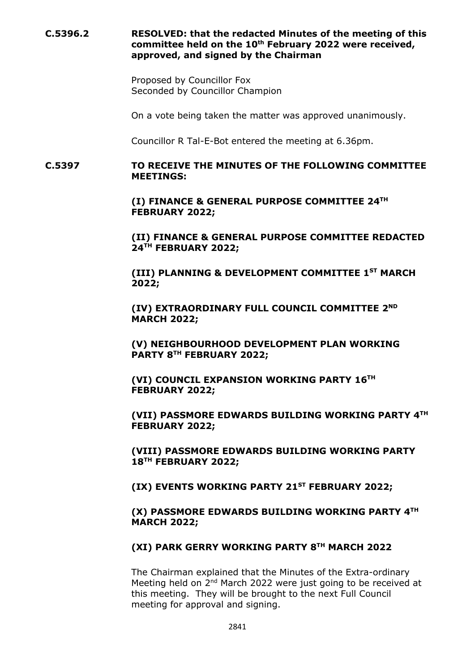# **C.5396.2 RESOLVED: that the redacted Minutes of the meeting of this committee held on the 10th February 2022 were received, approved, and signed by the Chairman**

Proposed by Councillor Fox Seconded by Councillor Champion

On a vote being taken the matter was approved unanimously.

Councillor R Tal-E-Bot entered the meeting at 6.36pm.

### **C.5397 TO RECEIVE THE MINUTES OF THE FOLLOWING COMMITTEE MEETINGS:**

**(I) FINANCE & GENERAL PURPOSE COMMITTEE 24TH FEBRUARY 2022;**

**(II) FINANCE & GENERAL PURPOSE COMMITTEE REDACTED 24TH FEBRUARY 2022;**

**(III) PLANNING & DEVELOPMENT COMMITTEE 1ST MARCH 2022;**

**(IV) EXTRAORDINARY FULL COUNCIL COMMITTEE 2ND MARCH 2022;**

**(V) NEIGHBOURHOOD DEVELOPMENT PLAN WORKING PARTY 8TH FEBRUARY 2022;**

**(VI) COUNCIL EXPANSION WORKING PARTY 16TH FEBRUARY 2022;**

**(VII) PASSMORE EDWARDS BUILDING WORKING PARTY 4TH FEBRUARY 2022;**

**(VIII) PASSMORE EDWARDS BUILDING WORKING PARTY 18TH FEBRUARY 2022;**

**(IX) EVENTS WORKING PARTY 21ST FEBRUARY 2022;**

**(X) PASSMORE EDWARDS BUILDING WORKING PARTY 4TH MARCH 2022;**

### **(XI) PARK GERRY WORKING PARTY 8TH MARCH 2022**

The Chairman explained that the Minutes of the Extra-ordinary Meeting held on 2<sup>nd</sup> March 2022 were just going to be received at this meeting. They will be brought to the next Full Council meeting for approval and signing.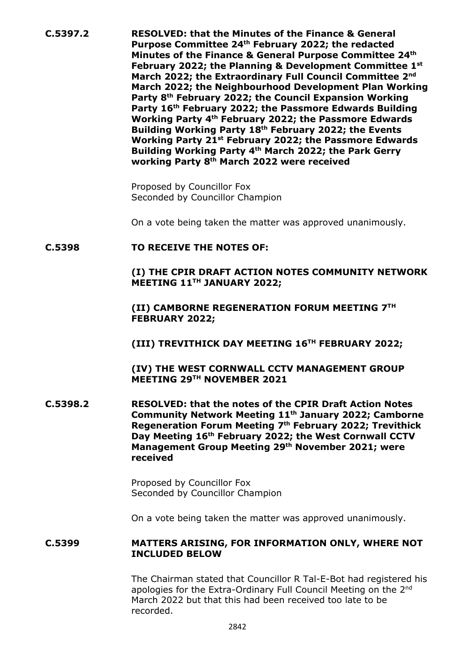**C.5397.2 RESOLVED: that the Minutes of the Finance & General Purpose Committee 24th February 2022; the redacted Minutes of the Finance & General Purpose Committee 24th February 2022; the Planning & Development Committee 1st March 2022; the Extraordinary Full Council Committee 2nd March 2022; the Neighbourhood Development Plan Working Party 8th February 2022; the Council Expansion Working Party 16th February 2022; the Passmore Edwards Building Working Party 4th February 2022; the Passmore Edwards Building Working Party 18th February 2022; the Events Working Party 21st February 2022; the Passmore Edwards Building Working Party 4th March 2022; the Park Gerry working Party 8th March 2022 were received**

> Proposed by Councillor Fox Seconded by Councillor Champion

On a vote being taken the matter was approved unanimously.

### **C.5398 TO RECEIVE THE NOTES OF:**

**(I) THE CPIR DRAFT ACTION NOTES COMMUNITY NETWORK MEETING 11TH JANUARY 2022;**

**(II) CAMBORNE REGENERATION FORUM MEETING 7TH FEBRUARY 2022;**

**(III) TREVITHICK DAY MEETING 16TH FEBRUARY 2022;**

**(IV) THE WEST CORNWALL CCTV MANAGEMENT GROUP MEETING 29TH NOVEMBER 2021**

**C.5398.2 RESOLVED: that the notes of the CPIR Draft Action Notes Community Network Meeting 11th January 2022; Camborne Regeneration Forum Meeting 7th February 2022; Trevithick Day Meeting 16th February 2022; the West Cornwall CCTV Management Group Meeting 29th November 2021; were received**

> Proposed by Councillor Fox Seconded by Councillor Champion

On a vote being taken the matter was approved unanimously.

### **C.5399 MATTERS ARISING, FOR INFORMATION ONLY, WHERE NOT INCLUDED BELOW**

The Chairman stated that Councillor R Tal-E-Bot had registered his apologies for the Extra-Ordinary Full Council Meeting on the 2<sup>nd</sup> March 2022 but that this had been received too late to be recorded.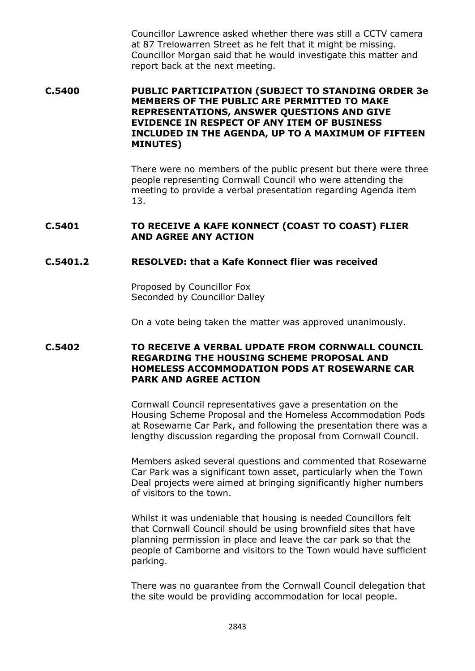Councillor Lawrence asked whether there was still a CCTV camera at 87 Trelowarren Street as he felt that it might be missing. Councillor Morgan said that he would investigate this matter and report back at the next meeting.

**C.5400 PUBLIC PARTICIPATION (SUBJECT TO STANDING ORDER 3e MEMBERS OF THE PUBLIC ARE PERMITTED TO MAKE REPRESENTATIONS, ANSWER QUESTIONS AND GIVE EVIDENCE IN RESPECT OF ANY ITEM OF BUSINESS INCLUDED IN THE AGENDA, UP TO A MAXIMUM OF FIFTEEN MINUTES)**

> There were no members of the public present but there were three people representing Cornwall Council who were attending the meeting to provide a verbal presentation regarding Agenda item 13.

### **C.5401 TO RECEIVE A KAFE KONNECT (COAST TO COAST) FLIER AND AGREE ANY ACTION**

## **C.5401.2 RESOLVED: that a Kafe Konnect flier was received**

Proposed by Councillor Fox Seconded by Councillor Dalley

On a vote being taken the matter was approved unanimously.

## **C.5402 TO RECEIVE A VERBAL UPDATE FROM CORNWALL COUNCIL REGARDING THE HOUSING SCHEME PROPOSAL AND HOMELESS ACCOMMODATION PODS AT ROSEWARNE CAR PARK AND AGREE ACTION**

Cornwall Council representatives gave a presentation on the Housing Scheme Proposal and the Homeless Accommodation Pods at Rosewarne Car Park, and following the presentation there was a lengthy discussion regarding the proposal from Cornwall Council.

Members asked several questions and commented that Rosewarne Car Park was a significant town asset, particularly when the Town Deal projects were aimed at bringing significantly higher numbers of visitors to the town.

Whilst it was undeniable that housing is needed Councillors felt that Cornwall Council should be using brownfield sites that have planning permission in place and leave the car park so that the people of Camborne and visitors to the Town would have sufficient parking.

There was no guarantee from the Cornwall Council delegation that the site would be providing accommodation for local people.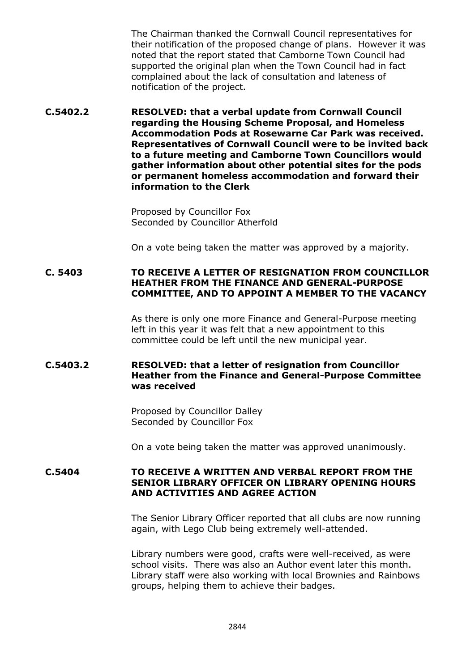The Chairman thanked the Cornwall Council representatives for their notification of the proposed change of plans. However it was noted that the report stated that Camborne Town Council had supported the original plan when the Town Council had in fact complained about the lack of consultation and lateness of notification of the project.

**C.5402.2 RESOLVED: that a verbal update from Cornwall Council regarding the Housing Scheme Proposal, and Homeless Accommodation Pods at Rosewarne Car Park was received. Representatives of Cornwall Council were to be invited back to a future meeting and Camborne Town Councillors would gather information about other potential sites for the pods or permanent homeless accommodation and forward their information to the Clerk**

> Proposed by Councillor Fox Seconded by Councillor Atherfold

On a vote being taken the matter was approved by a majority.

# **C. 5403 TO RECEIVE A LETTER OF RESIGNATION FROM COUNCILLOR HEATHER FROM THE FINANCE AND GENERAL-PURPOSE COMMITTEE, AND TO APPOINT A MEMBER TO THE VACANCY**

As there is only one more Finance and General-Purpose meeting left in this year it was felt that a new appointment to this committee could be left until the new municipal year.

# **C.5403.2 RESOLVED: that a letter of resignation from Councillor Heather from the Finance and General-Purpose Committee was received**

Proposed by Councillor Dalley Seconded by Councillor Fox

On a vote being taken the matter was approved unanimously.

## **C.5404 TO RECEIVE A WRITTEN AND VERBAL REPORT FROM THE SENIOR LIBRARY OFFICER ON LIBRARY OPENING HOURS AND ACTIVITIES AND AGREE ACTION**

The Senior Library Officer reported that all clubs are now running again, with Lego Club being extremely well-attended.

Library numbers were good, crafts were well-received, as were school visits. There was also an Author event later this month. Library staff were also working with local Brownies and Rainbows groups, helping them to achieve their badges.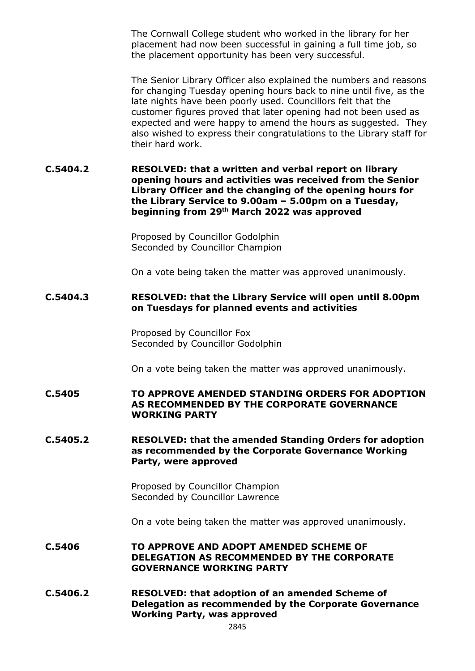The Cornwall College student who worked in the library for her placement had now been successful in gaining a full time job, so the placement opportunity has been very successful.

The Senior Library Officer also explained the numbers and reasons for changing Tuesday opening hours back to nine until five, as the late nights have been poorly used. Councillors felt that the customer figures proved that later opening had not been used as expected and were happy to amend the hours as suggested. They also wished to express their congratulations to the Library staff for their hard work.

**C.5404.2 RESOLVED: that a written and verbal report on library opening hours and activities was received from the Senior Library Officer and the changing of the opening hours for the Library Service to 9.00am – 5.00pm on a Tuesday, beginning from 29th March 2022 was approved**

> Proposed by Councillor Godolphin Seconded by Councillor Champion

On a vote being taken the matter was approved unanimously.

### **C.5404.3 RESOLVED: that the Library Service will open until 8.00pm on Tuesdays for planned events and activities**

Proposed by Councillor Fox Seconded by Councillor Godolphin

On a vote being taken the matter was approved unanimously.

**C.5405 TO APPROVE AMENDED STANDING ORDERS FOR ADOPTION AS RECOMMENDED BY THE CORPORATE GOVERNANCE WORKING PARTY**

### **C.5405.2 RESOLVED: that the amended Standing Orders for adoption as recommended by the Corporate Governance Working Party, were approved**

Proposed by Councillor Champion Seconded by Councillor Lawrence

On a vote being taken the matter was approved unanimously.

- **C.5406 TO APPROVE AND ADOPT AMENDED SCHEME OF DELEGATION AS RECOMMENDED BY THE CORPORATE GOVERNANCE WORKING PARTY**
- **C.5406.2 RESOLVED: that adoption of an amended Scheme of Delegation as recommended by the Corporate Governance Working Party, was approved**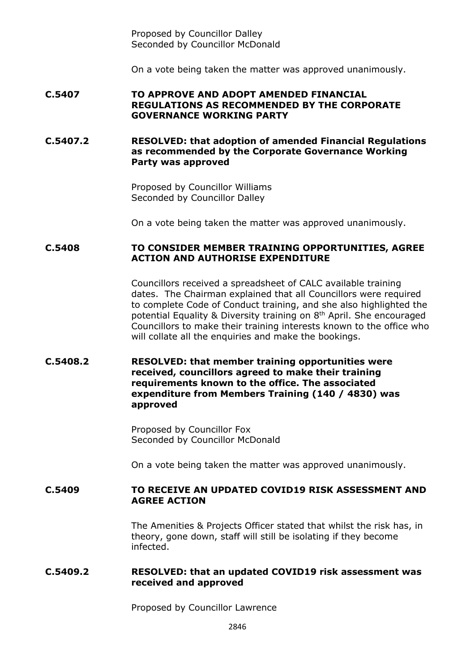Proposed by Councillor Dalley Seconded by Councillor McDonald

On a vote being taken the matter was approved unanimously.

#### **C.5407 TO APPROVE AND ADOPT AMENDED FINANCIAL REGULATIONS AS RECOMMENDED BY THE CORPORATE GOVERNANCE WORKING PARTY**

**C.5407.2 RESOLVED: that adoption of amended Financial Regulations as recommended by the Corporate Governance Working Party was approved**

> Proposed by Councillor Williams Seconded by Councillor Dalley

On a vote being taken the matter was approved unanimously.

## **C.5408 TO CONSIDER MEMBER TRAINING OPPORTUNITIES, AGREE ACTION AND AUTHORISE EXPENDITURE**

Councillors received a spreadsheet of CALC available training dates. The Chairman explained that all Councillors were required to complete Code of Conduct training, and she also highlighted the potential Equality & Diversity training on 8<sup>th</sup> April. She encouraged Councillors to make their training interests known to the office who will collate all the enquiries and make the bookings.

## **C.5408.2 RESOLVED: that member training opportunities were received, councillors agreed to make their training requirements known to the office. The associated expenditure from Members Training (140 / 4830) was approved**

Proposed by Councillor Fox Seconded by Councillor McDonald

On a vote being taken the matter was approved unanimously.

### **C.5409 TO RECEIVE AN UPDATED COVID19 RISK ASSESSMENT AND AGREE ACTION**

The Amenities & Projects Officer stated that whilst the risk has, in theory, gone down, staff will still be isolating if they become infected.

#### **C.5409.2 RESOLVED: that an updated COVID19 risk assessment was received and approved**

Proposed by Councillor Lawrence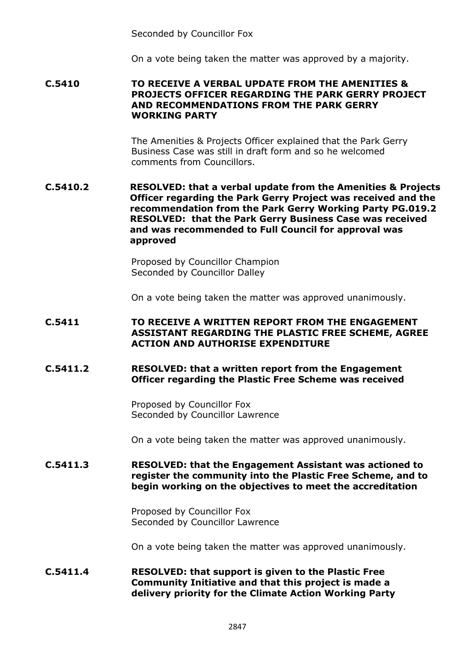Seconded by Councillor Fox

On a vote being taken the matter was approved by a majority.

**C.5410 TO RECEIVE A VERBAL UPDATE FROM THE AMENITIES & PROJECTS OFFICER REGARDING THE PARK GERRY PROJECT AND RECOMMENDATIONS FROM THE PARK GERRY WORKING PARTY**

> The Amenities & Projects Officer explained that the Park Gerry Business Case was still in draft form and so he welcomed comments from Councillors.

**C.5410.2 RESOLVED: that a verbal update from the Amenities & Projects Officer regarding the Park Gerry Project was received and the recommendation from the Park Gerry Working Party PG.019.2 RESOLVED: that the Park Gerry Business Case was received and was recommended to Full Council for approval was approved**

> Proposed by Councillor Champion Seconded by Councillor Dalley

On a vote being taken the matter was approved unanimously.

## **C.5411 TO RECEIVE A WRITTEN REPORT FROM THE ENGAGEMENT ASSISTANT REGARDING THE PLASTIC FREE SCHEME, AGREE ACTION AND AUTHORISE EXPENDITURE**

### **C.5411.2 RESOLVED: that a written report from the Engagement Officer regarding the Plastic Free Scheme was received**

Proposed by Councillor Fox Seconded by Councillor Lawrence

On a vote being taken the matter was approved unanimously.

### **C.5411.3 RESOLVED: that the Engagement Assistant was actioned to register the community into the Plastic Free Scheme, and to begin working on the objectives to meet the accreditation**

Proposed by Councillor Fox Seconded by Councillor Lawrence

On a vote being taken the matter was approved unanimously.

## **C.5411.4 RESOLVED: that support is given to the Plastic Free Community Initiative and that this project is made a delivery priority for the Climate Action Working Party**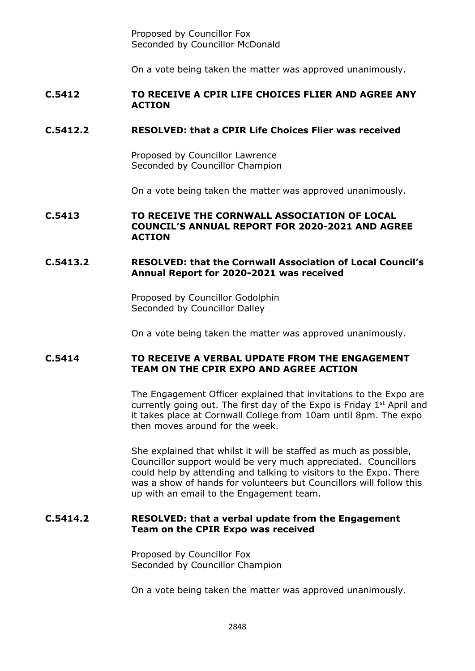Proposed by Councillor Fox Seconded by Councillor McDonald

On a vote being taken the matter was approved unanimously.

### **C.5412 TO RECEIVE A CPIR LIFE CHOICES FLIER AND AGREE ANY ACTION**

## **C.5412.2 RESOLVED: that a CPIR Life Choices Flier was received**

Proposed by Councillor Lawrence Seconded by Councillor Champion

On a vote being taken the matter was approved unanimously.

### **C.5413 TO RECEIVE THE CORNWALL ASSOCIATION OF LOCAL COUNCIL'S ANNUAL REPORT FOR 2020-2021 AND AGREE ACTION**

## **C.5413.2 RESOLVED: that the Cornwall Association of Local Council's Annual Report for 2020-2021 was received**

Proposed by Councillor Godolphin Seconded by Councillor Dalley

On a vote being taken the matter was approved unanimously.

## **C.5414 TO RECEIVE A VERBAL UPDATE FROM THE ENGAGEMENT TEAM ON THE CPIR EXPO AND AGREE ACTION**

The Engagement Officer explained that invitations to the Expo are currently going out. The first day of the Expo is Friday  $1<sup>st</sup>$  April and it takes place at Cornwall College from 10am until 8pm. The expo then moves around for the week.

She explained that whilst it will be staffed as much as possible, Councillor support would be very much appreciated. Councillors could help by attending and talking to visitors to the Expo. There was a show of hands for volunteers but Councillors will follow this up with an email to the Engagement team.

### **C.5414.2 RESOLVED: that a verbal update from the Engagement Team on the CPIR Expo was received**

Proposed by Councillor Fox Seconded by Councillor Champion

On a vote being taken the matter was approved unanimously.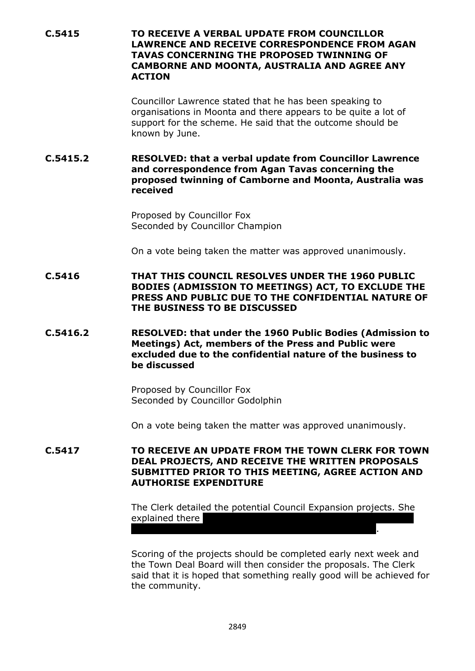**C.5415 TO RECEIVE A VERBAL UPDATE FROM COUNCILLOR LAWRENCE AND RECEIVE CORRESPONDENCE FROM AGAN TAVAS CONCERNING THE PROPOSED TWINNING OF CAMBORNE AND MOONTA, AUSTRALIA AND AGREE ANY ACTION**

> Councillor Lawrence stated that he has been speaking to organisations in Moonta and there appears to be quite a lot of support for the scheme. He said that the outcome should be known by June.

**C.5415.2 RESOLVED: that a verbal update from Councillor Lawrence and correspondence from Agan Tavas concerning the proposed twinning of Camborne and Moonta, Australia was received** 

> Proposed by Councillor Fox Seconded by Councillor Champion

On a vote being taken the matter was approved unanimously.

**C.5416 THAT THIS COUNCIL RESOLVES UNDER THE 1960 PUBLIC BODIES (ADMISSION TO MEETINGS) ACT, TO EXCLUDE THE PRESS AND PUBLIC DUE TO THE CONFIDENTIAL NATURE OF THE BUSINESS TO BE DISCUSSED**

**C.5416.2 RESOLVED: that under the 1960 Public Bodies (Admission to Meetings) Act, members of the Press and Public were excluded due to the confidential nature of the business to be discussed**

> Proposed by Councillor Fox Seconded by Councillor Godolphin

On a vote being taken the matter was approved unanimously.

**C.5417 TO RECEIVE AN UPDATE FROM THE TOWN CLERK FOR TOWN DEAL PROJECTS, AND RECEIVE THE WRITTEN PROPOSALS SUBMITTED PRIOR TO THIS MEETING, AGREE ACTION AND AUTHORISE EXPENDITURE**

> The Clerk detailed the potential Council Expansion projects. She explained there

House, and so the Basset Centre was a back up project.

Scoring of the projects should be completed early next week and the Town Deal Board will then consider the proposals. The Clerk said that it is hoped that something really good will be achieved for the community.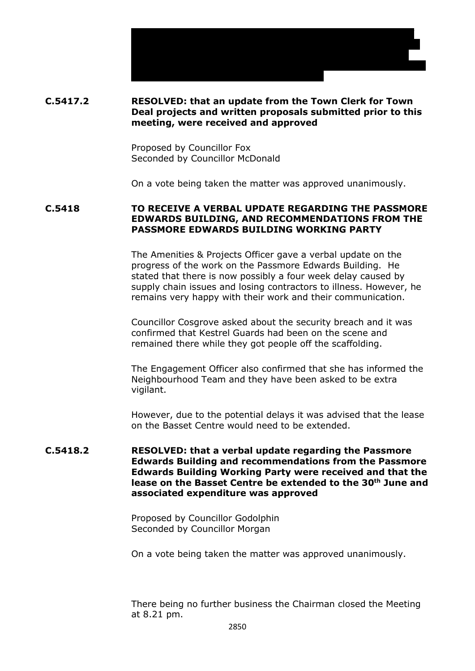

the projects will then be thoroughly costed.

Proposed by Councillor Fox Seconded by Councillor McDonald

On a vote being taken the matter was approved unanimously.

 $T_{\rm eff}$  some concerns expressed about the cost of some of some of some of some of some of some of some of some the projects and the possibility of not being able to progress with the White House. The Clerk explained that the proposals have been submitted and when the Town Deal Board reaches a decision

**C.5418 TO RECEIVE A VERBAL UPDATE REGARDING THE PASSMORE EDWARDS BUILDING, AND RECOMMENDATIONS FROM THE PASSMORE EDWARDS BUILDING WORKING PARTY**

> The Amenities & Projects Officer gave a verbal update on the progress of the work on the Passmore Edwards Building. He stated that there is now possibly a four week delay caused by supply chain issues and losing contractors to illness. However, he remains very happy with their work and their communication.

Councillor Cosgrove asked about the security breach and it was confirmed that Kestrel Guards had been on the scene and remained there while they got people off the scaffolding.

The Engagement Officer also confirmed that she has informed the Neighbourhood Team and they have been asked to be extra vigilant.

However, due to the potential delays it was advised that the lease on the Basset Centre would need to be extended.

### **C.5418.2 RESOLVED: that a verbal update regarding the Passmore Edwards Building and recommendations from the Passmore Edwards Building Working Party were received and that the lease on the Basset Centre be extended to the 30th June and associated expenditure was approved**

Proposed by Councillor Godolphin Seconded by Councillor Morgan

On a vote being taken the matter was approved unanimously.

There being no further business the Chairman closed the Meeting at 8.21 pm.